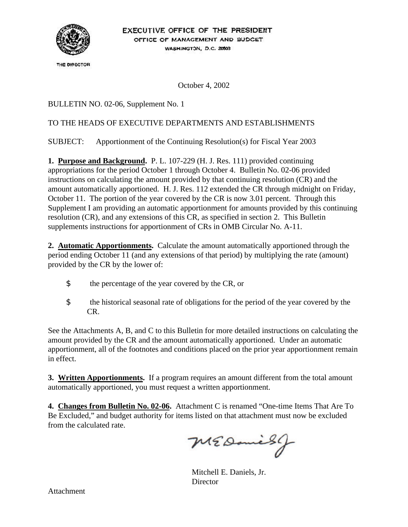

THE DIRECTOR

October 4, 2002

BULLETIN NO. 02-06, Supplement No. 1

#### TO THE HEADS OF EXECUTIVE DEPARTMENTS AND ESTABLISHMENTS

SUBJECT: Apportionment of the Continuing Resolution(s) for Fiscal Year 2003

**1. Purpose and Background.** P. L. 107-229 (H. J. Res. 111) provided continuing appropriations for the period October 1 through October 4. Bulletin No. 02-06 provided instructions on calculating the amount provided by that continuing resolution (CR) and the amount automatically apportioned. H. J. Res. 112 extended the CR through midnight on Friday, October 11. The portion of the year covered by the CR is now 3.01 percent. Through this Supplement I am providing an automatic apportionment for amounts provided by this continuing resolution (CR), and any extensions of this CR, as specified in section 2. This Bulletin supplements instructions for apportionment of CRs in OMB Circular No. A-11.

**2. Automatic Apportionments.** Calculate the amount automatically apportioned through the period ending October 11 (and any extensions of that period) by multiplying the rate (amount) provided by the CR by the lower of:

- \$ the percentage of the year covered by the CR, or
- \$ the historical seasonal rate of obligations for the period of the year covered by the CR.

See the Attachments A, B, and C to this Bulletin for more detailed instructions on calculating the amount provided by the CR and the amount automatically apportioned. Under an automatic apportionment, all of the footnotes and conditions placed on the prior year apportionment remain in effect.

**3. Written Apportionments.** If a program requires an amount different from the total amount automatically apportioned, you must request a written apportionment.

**4. Changes from Bulletin No. 02-06.** Attachment C is renamed "One-time Items That Are To Be Excluded," and budget authority for items listed on that attachment must now be excluded from the calculated rate.

MEDanisg

Mitchell E. Daniels, Jr. **Director**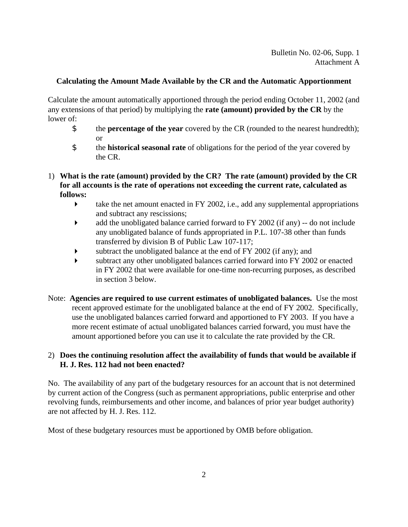#### **Calculating the Amount Made Available by the CR and the Automatic Apportionment**

Calculate the amount automatically apportioned through the period ending October 11, 2002 (and any extensions of that period) by multiplying the **rate (amount) provided by the CR** by the lower of:

- \$ the **percentage of the year** covered by the CR (rounded to the nearest hundredth); or
- \$ the **historical seasonal rate** of obligations for the period of the year covered by the CR.
- 1) **What is the rate (amount) provided by the CR? The rate (amount) provided by the CR for all accounts is the rate of operations not exceeding the current rate, calculated as follows:** 
	- $\blacktriangleright$  take the net amount enacted in FY 2002, i.e., add any supplemental appropriations and subtract any rescissions;
	- $\blacktriangleright$  add the unobligated balance carried forward to FY 2002 (if any) -- do not include any unobligated balance of funds appropriated in P.L. 107-38 other than funds transferred by division B of Public Law 107-117;
	- $\blacktriangleright$  subtract the unobligated balance at the end of FY 2002 (if any); and
	- � subtract any other unobligated balances carried forward into FY 2002 or enacted in FY 2002 that were available for one-time non-recurring purposes, as described in section 3 below.
- Note: **Agencies are required to use current estimates of unobligated balances.** Use the most recent approved estimate for the unobligated balance at the end of FY 2002. Specifically, use the unobligated balances carried forward and apportioned to FY 2003. If you have a more recent estimate of actual unobligated balances carried forward, you must have the amount apportioned before you can use it to calculate the rate provided by the CR.

### 2) **Does the continuing resolution affect the availability of funds that would be available if H. J. Res. 112 had not been enacted?**

No. The availability of any part of the budgetary resources for an account that is not determined by current action of the Congress (such as permanent appropriations, public enterprise and other revolving funds, reimbursements and other income, and balances of prior year budget authority) are not affected by H. J. Res. 112.

Most of these budgetary resources must be apportioned by OMB before obligation.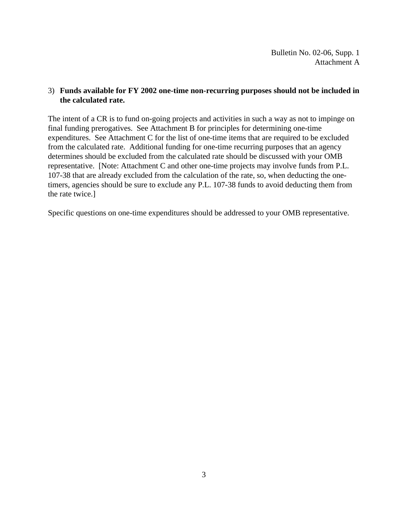Bulletin No. 02-06, Supp. 1 Attachment A

#### 3) **Funds available for FY 2002 one-time non-recurring purposes should not be included in the calculated rate.**

The intent of a CR is to fund on-going projects and activities in such a way as not to impinge on final funding prerogatives. See Attachment B for principles for determining one-time expenditures. See Attachment C for the list of one-time items that are required to be excluded from the calculated rate. Additional funding for one-time recurring purposes that an agency determines should be excluded from the calculated rate should be discussed with your OMB representative. [Note: Attachment C and other one-time projects may involve funds from P.L. 107-38 that are already excluded from the calculation of the rate, so, when deducting the onetimers, agencies should be sure to exclude any P.L. 107-38 funds to avoid deducting them from the rate twice.]

Specific questions on one-time expenditures should be addressed to your OMB representative.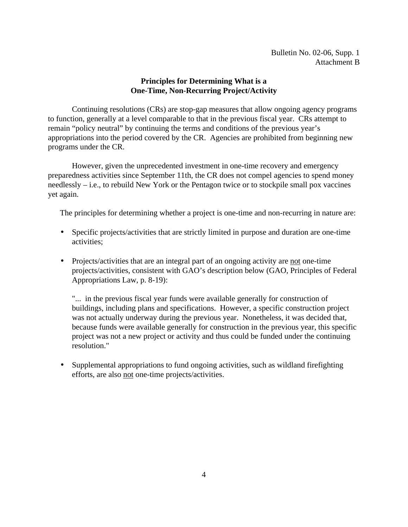#### **Principles for Determining What is a One-Time, Non-Recurring Project/Activity**

Continuing resolutions (CRs) are stop-gap measures that allow ongoing agency programs to function, generally at a level comparable to that in the previous fiscal year. CRs attempt to remain "policy neutral" by continuing the terms and conditions of the previous year's appropriations into the period covered by the CR. Agencies are prohibited from beginning new programs under the CR.

However, given the unprecedented investment in one-time recovery and emergency preparedness activities since September 11th, the CR does not compel agencies to spend money needlessly – i.e., to rebuild New York or the Pentagon twice or to stockpile small pox vaccines yet again.

The principles for determining whether a project is one-time and non-recurring in nature are:

- Specific projects/activities that are strictly limited in purpose and duration are one-time activities;
- Projects/activities that are an integral part of an ongoing activity are not one-time projects/activities, consistent with GAO's description below (GAO, Principles of Federal Appropriations Law, p. 8-19):

"... in the previous fiscal year funds were available generally for construction of buildings, including plans and specifications. However, a specific construction project was not actually underway during the previous year. Nonetheless, it was decided that, because funds were available generally for construction in the previous year, this specific project was not a new project or activity and thus could be funded under the continuing resolution."

• Supplemental appropriations to fund ongoing activities, such as wildland firefighting efforts, are also not one-time projects/activities.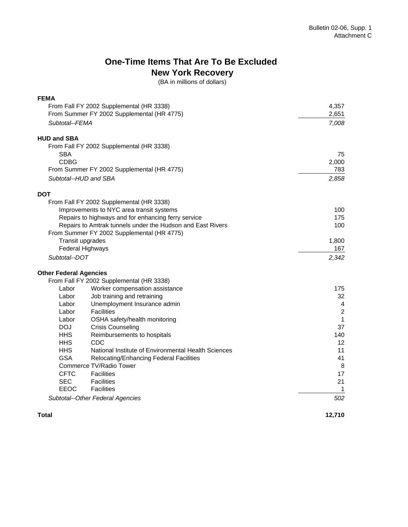## **One-Time Items That Are To Be Excluded New York Recovery**

(BA in millions of dollars)

| <b>FEMA</b>                                                |                                                     |                |
|------------------------------------------------------------|-----------------------------------------------------|----------------|
| From Fall FY 2002 Supplemental (HR 3338)                   |                                                     | 4,357          |
|                                                            | From Summer FY 2002 Supplemental (HR 4775)          | 2,651          |
| Subtotal--FEMA                                             |                                                     | 7,008          |
| <b>HUD and SBA</b>                                         |                                                     |                |
|                                                            | From Fall FY 2002 Supplemental (HR 3338)            |                |
| <b>SBA</b>                                                 |                                                     | 75             |
| <b>CDBG</b>                                                |                                                     | 2,000          |
| From Summer FY 2002 Supplemental (HR 4775)                 |                                                     | 783            |
| Subtotal--HUD and SBA                                      |                                                     | 2,858          |
| <b>DOT</b>                                                 |                                                     |                |
|                                                            | From Fall FY 2002 Supplemental (HR 3338)            |                |
| Improvements to NYC area transit systems                   |                                                     | 100            |
|                                                            | Repairs to highways and for enhancing ferry service | 175            |
| Repairs to Amtrak tunnels under the Hudson and East Rivers |                                                     | 100            |
|                                                            | From Summer FY 2002 Supplemental (HR 4775)          |                |
|                                                            | Transit upgrades                                    | 1,800          |
|                                                            | <b>Federal Highways</b>                             | 167            |
| Subtotal--DOT                                              |                                                     | 2,342          |
| <b>Other Federal Agencies</b>                              |                                                     |                |
|                                                            | From Fall FY 2002 Supplemental (HR 3338)            |                |
| Labor                                                      | Worker compensation assistance                      | 175            |
| Labor                                                      | Job training and retraining                         | 32             |
| Labor                                                      | Unemployment Insurance admin                        | $\overline{4}$ |
| Labor                                                      | <b>Facilities</b>                                   | $\overline{2}$ |
| Labor                                                      | OSHA safety/health monitoring                       | 1              |
| <b>DOJ</b>                                                 | <b>Crisis Counseling</b>                            | 37             |
| <b>HHS</b>                                                 | Reimbursements to hospitals                         | 140            |
| <b>HHS</b>                                                 | CDC                                                 | 12             |
| HHS.                                                       | National Institute of Environmental Health Sciences | 11             |
| <b>GSA</b>                                                 | Relocating/Enhancing Federal Facilities             | 41             |
|                                                            | Commerce TV/Radio Tower                             | 8              |
| <b>CFTC</b>                                                | <b>Facilities</b>                                   | 17             |
| <b>SEC</b>                                                 | <b>Facilities</b>                                   | 21             |
| EEOC                                                       | <b>Facilities</b>                                   | 1              |
|                                                            | Subtotal--Other Federal Agencies                    | 502            |

**Total** 

**12,710**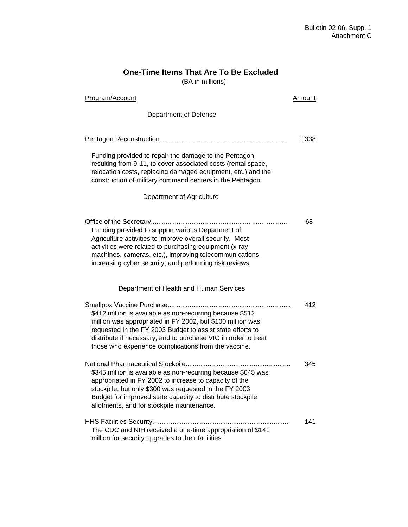# **One-Time Items That Are To Be Excluded**

(BA in millions)

| <b>Program/Account</b>                                                                                                                                                                                                                                                                                          | Amount |
|-----------------------------------------------------------------------------------------------------------------------------------------------------------------------------------------------------------------------------------------------------------------------------------------------------------------|--------|
| Department of Defense                                                                                                                                                                                                                                                                                           |        |
|                                                                                                                                                                                                                                                                                                                 | 1,338  |
| Funding provided to repair the damage to the Pentagon<br>resulting from 9-11, to cover associated costs (rental space,<br>relocation costs, replacing damaged equipment, etc.) and the<br>construction of military command centers in the Pentagon.                                                             |        |
| Department of Agriculture                                                                                                                                                                                                                                                                                       |        |
| Funding provided to support various Department of<br>Agriculture activities to improve overall security. Most<br>activities were related to purchasing equipment (x-ray<br>machines, cameras, etc.), improving telecommunications,<br>increasing cyber security, and performing risk reviews.                   | 68     |
| Department of Health and Human Services                                                                                                                                                                                                                                                                         |        |
| \$412 million is available as non-recurring because \$512<br>million was appropriated in FY 2002, but \$100 million was<br>requested in the FY 2003 Budget to assist state efforts to<br>distribute if necessary, and to purchase VIG in order to treat<br>those who experience complications from the vaccine. | 412    |
| \$345 million is available as non-recurring because \$645 was<br>appropriated in FY 2002 to increase to capacity of the<br>stockpile, but only \$300 was requested in the FY 2003<br>Budget for improved state capacity to distribute stockpile<br>allotments, and for stockpile maintenance.                   | 345    |
| The CDC and NIH received a one-time appropriation of \$141<br>million for security upgrades to their facilities.                                                                                                                                                                                                | 141    |